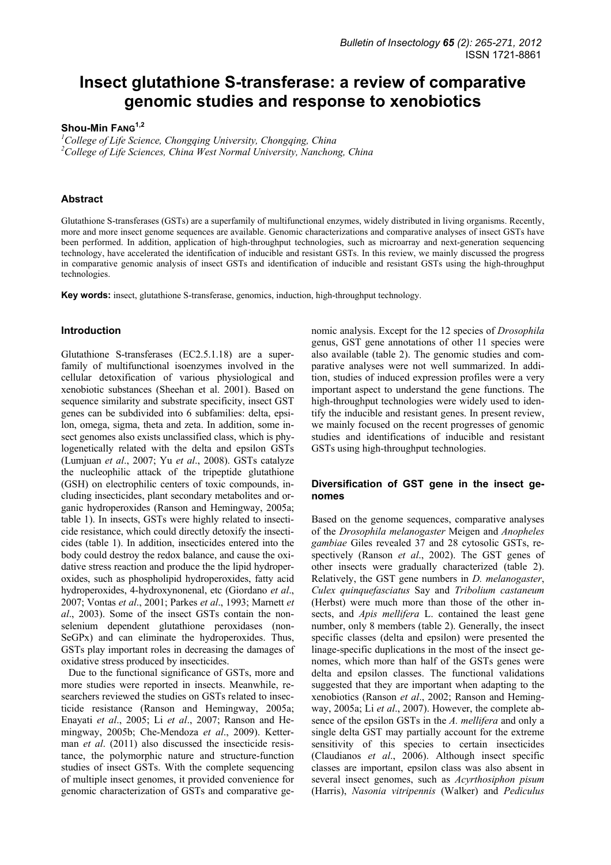# **Insect glutathione S-transferase: a review of comparative genomic studies and response to xenobiotics**

# Shou-Min FANG<sup>1,2</sup>

*1 College of Life Science, Chongqing University, Chongqing, China 2 College of Life Sciences, China West Normal University, Nanchong, China* 

## **Abstract**

Glutathione S-transferases (GSTs) are a superfamily of multifunctional enzymes, widely distributed in living organisms. Recently, more and more insect genome sequences are available. Genomic characterizations and comparative analyses of insect GSTs have been performed. In addition, application of high-throughput technologies, such as microarray and next-generation sequencing technology, have accelerated the identification of inducible and resistant GSTs. In this review, we mainly discussed the progress in comparative genomic analysis of insect GSTs and identification of inducible and resistant GSTs using the high-throughput technologies.

**Key words:** insect, glutathione S-transferase, genomics, induction, high-throughput technology.

## **Introduction**

Glutathione S-transferases (EC2.5.1.18) are a superfamily of multifunctional isoenzymes involved in the cellular detoxification of various physiological and xenobiotic substances (Sheehan et al. 2001). Based on sequence similarity and substrate specificity, insect GST genes can be subdivided into 6 subfamilies: delta, epsilon, omega, sigma, theta and zeta. In addition, some insect genomes also exists unclassified class, which is phylogenetically related with the delta and epsilon GSTs (Lumjuan *et al*., 2007; Yu *et al*., 2008). GSTs catalyze the nucleophilic attack of the tripeptide glutathione (GSH) on electrophilic centers of toxic compounds, including insecticides, plant secondary metabolites and organic hydroperoxides (Ranson and Hemingway, 2005a; table 1). In insects, GSTs were highly related to insecticide resistance, which could directly detoxify the insecticides (table 1). In addition, insecticides entered into the body could destroy the redox balance, and cause the oxidative stress reaction and produce the the lipid hydroperoxides, such as phospholipid hydroperoxides, fatty acid hydroperoxides, 4-hydroxynonenal, etc (Giordano *et al*., 2007; Vontas *et al*., 2001; Parkes *et al*., 1993; Marnett *et al*., 2003). Some of the insect GSTs contain the nonselenium dependent glutathione peroxidases (non-SeGPx) and can eliminate the hydroperoxides. Thus, GSTs play important roles in decreasing the damages of oxidative stress produced by insecticides.

Due to the functional significance of GSTs, more and more studies were reported in insects. Meanwhile, researchers reviewed the studies on GSTs related to insecticide resistance (Ranson and Hemingway, 2005a; Enayati *et al*., 2005; Li *et al*., 2007; Ranson and Hemingway, 2005b; Che-Mendoza *et al*., 2009). Ketterman *et al*. (2011) also discussed the insecticide resistance, the polymorphic nature and structure-function studies of insect GSTs. With the complete sequencing of multiple insect genomes, it provided convenience for genomic characterization of GSTs and comparative ge-

nomic analysis. Except for the 12 species of *Drosophila* genus, GST gene annotations of other 11 species were also available (table 2). The genomic studies and comparative analyses were not well summarized. In addition, studies of induced expression profiles were a very important aspect to understand the gene functions. The high-throughput technologies were widely used to identify the inducible and resistant genes. In present review, we mainly focused on the recent progresses of genomic studies and identifications of inducible and resistant GSTs using high-throughput technologies.

## **Diversification of GST gene in the insect genomes**

Based on the genome sequences, comparative analyses of the *Drosophila melanogaster* Meigen and *Anopheles gambiae* Giles revealed 37 and 28 cytosolic GSTs, respectively (Ranson *et al*., 2002). The GST genes of other insects were gradually characterized (table 2). Relatively, the GST gene numbers in *D. melanogaster*, *Culex quinquefasciatus* Say and *Tribolium castaneum* (Herbst) were much more than those of the other insects, and *Apis mellifera* L. contained the least gene number, only 8 members (table 2). Generally, the insect specific classes (delta and epsilon) were presented the linage-specific duplications in the most of the insect genomes, which more than half of the GSTs genes were delta and epsilon classes. The functional validations suggested that they are important when adapting to the xenobiotics (Ranson *et al*., 2002; Ranson and Hemingway, 2005a; Li *et al*., 2007). However, the complete absence of the epsilon GSTs in the *A. mellifera* and only a single delta GST may partially account for the extreme sensitivity of this species to certain insecticides (Claudianos *et al*., 2006). Although insect specific classes are important, epsilon class was also absent in several insect genomes, such as *Acyrthosiphon pisum* (Harris), *Nasonia vitripennis* (Walker) and *Pediculus*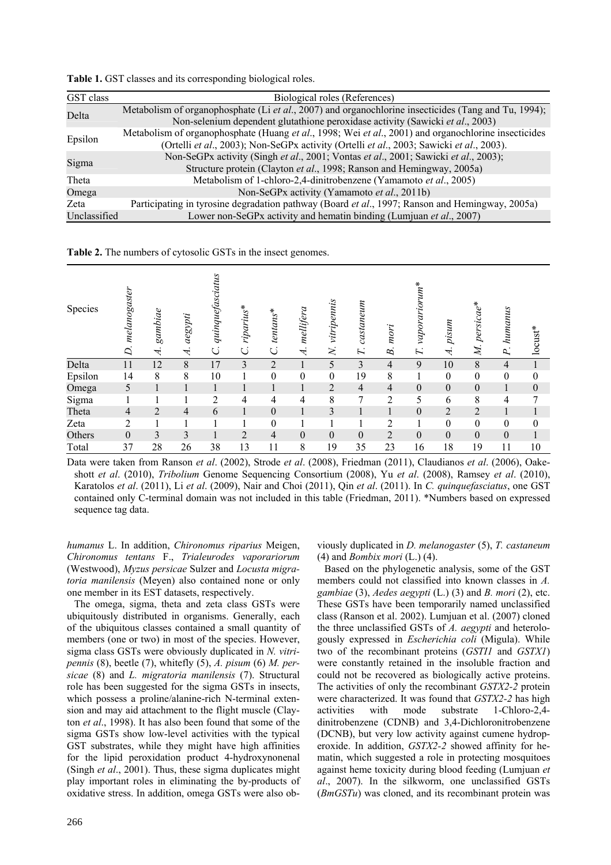**Table 1.** GST classes and its corresponding biological roles.

| GST class    | Biological roles (References)                                                                                                                                                                    |
|--------------|--------------------------------------------------------------------------------------------------------------------------------------------------------------------------------------------------|
| Delta        | Metabolism of organophosphate (Li et al., 2007) and organochlorine insecticides (Tang and Tu, 1994);<br>Non-selenium dependent glutathione peroxidase activity (Sawicki et al., 2003)            |
| Epsilon      | Metabolism of organophosphate (Huang et al., 1998; Wei et al., 2001) and organochlorine insecticides<br>(Ortelli et al., 2003); Non-SeGPx activity (Ortelli et al., 2003; Sawicki et al., 2003). |
| Sigma        | Non-SeGPx activity (Singh et al., 2001; Vontas et al., 2001; Sawicki et al., 2003);<br>Structure protein (Clayton et al., 1998; Ranson and Hemingway, 2005a)                                     |
| Theta        | Metabolism of 1-chloro-2,4-dinitrobenzene (Yamamoto et al., 2005)                                                                                                                                |
| Omega        | Non-SeGPx activity (Yamamoto et al., 2011b)                                                                                                                                                      |
| Zeta         | Participating in tyrosine degradation pathway (Board et al., 1997; Ranson and Hemingway, 2005a)                                                                                                  |
| Unclassified | Lower non-SeGPx activity and hematin binding (Lumjuan et al., 2007)                                                                                                                              |

**Table 2.** The numbers of cytosolic GSTs in the insect genomes.

| Species | melanogaster<br>D. | gambiae<br>4 | aegypti<br>A   | quinquefasciatus | riparius*<br>C | $tentans*$<br>Ċ. | mellifera<br>$\overline{\mathcal{A}}$ | vitripennis<br>$\mathsf{X}$ | castaneum<br>$\overline{L}$ | mori<br>B.     | *whordrightm<br>$\mathbf{r}$ | pisum<br>↽       | persicae*<br>M.  | humanus<br>$\mathbf{p}$ | locust*          |
|---------|--------------------|--------------|----------------|------------------|----------------|------------------|---------------------------------------|-----------------------------|-----------------------------|----------------|------------------------------|------------------|------------------|-------------------------|------------------|
| Delta   | 11                 | 12           | 8              | 17               | 3              | $\overline{2}$   |                                       | 5                           | 3                           | 4              | 9                            | 10               | 8                | 4                       |                  |
| Epsilon | 14                 | 8            | 8              | 10               |                | $\boldsymbol{0}$ | $\boldsymbol{0}$                      | $\boldsymbol{0}$            | 19                          | 8              |                              | $\mathbf{0}$     | $\boldsymbol{0}$ | $\boldsymbol{0}$        | $\boldsymbol{0}$ |
| Omega   | 5                  |              |                |                  |                |                  |                                       | 2                           | $\overline{4}$              | $\overline{4}$ | $\boldsymbol{0}$             | $\boldsymbol{0}$ | $\boldsymbol{0}$ |                         | $\boldsymbol{0}$ |
| Sigma   |                    |              |                | 2                | 4              | 4                | 4                                     | 8                           | 7                           | $\overline{2}$ | 5                            | 6                | 8                | 4                       | 7                |
| Theta   | $\overline{4}$     | 2            | $\overline{4}$ | 6                |                | $\boldsymbol{0}$ |                                       | 3                           |                             |                | $\mathbf{0}$                 | $\overline{2}$   | $\overline{2}$   |                         |                  |
| Zeta    | $\overline{2}$     |              |                |                  |                | $\boldsymbol{0}$ |                                       |                             |                             | $\overline{2}$ |                              | $\theta$         | $\theta$         | 0                       | $\theta$         |
| Others  | $\boldsymbol{0}$   | 3            | 3              |                  | $\overline{2}$ | $\overline{4}$   | $\mathbf{0}$                          | $\Omega$                    | $\mathbf{0}$                | $\overline{2}$ | $\boldsymbol{0}$             | $\theta$         | $\boldsymbol{0}$ | $\boldsymbol{0}$        |                  |
| Total   | 37                 | 28           | 26             | 38               | 13             | 11               | 8                                     | 19                          | 35                          | 23             | 16                           | 18               | 19               | 11                      | 10               |

Data were taken from Ranson *et al*. (2002), Strode *et al*. (2008), Friedman (2011), Claudianos *et al*. (2006), Oakeshott *et al*. (2010), *Tribolium* Genome Sequencing Consortium (2008), Yu *et al*. (2008), Ramsey *et al*. (2010), Karatolos *et al*. (2011), Li *et al*. (2009), Nair and Choi (2011), Qin *et al*. (2011). In *C. quinquefasciatus*, one GST contained only C-terminal domain was not included in this table (Friedman, 2011). \*Numbers based on expressed sequence tag data.

*humanus* L. In addition, *Chironomus riparius* Meigen, *Chironomus tentans* F., *Trialeurodes vaporariorum* (Westwood), *Myzus persicae* Sulzer and *Locusta migratoria manilensis* (Meyen) also contained none or only one member in its EST datasets, respectively.

The omega, sigma, theta and zeta class GSTs were ubiquitously distributed in organisms. Generally, each of the ubiquitous classes contained a small quantity of members (one or two) in most of the species. However, sigma class GSTs were obviously duplicated in *N. vitripennis* (8), beetle (7), whitefly (5), *A. pisum* (6) *M. persicae* (8) and *L. migratoria manilensis* (7). Structural role has been suggested for the sigma GSTs in insects, which possess a proline/alanine-rich N-terminal extension and may aid attachment to the flight muscle (Clayton *et al*., 1998). It has also been found that some of the sigma GSTs show low-level activities with the typical GST substrates, while they might have high affinities for the lipid peroxidation product 4-hydroxynonenal (Singh *et al*., 2001). Thus, these sigma duplicates might play important roles in eliminating the by-products of oxidative stress. In addition, omega GSTs were also obviously duplicated in *D. melanogaster* (5), *T. castaneum* (4) and *Bombix mori* (L.) (4).

Based on the phylogenetic analysis, some of the GST members could not classified into known classes in *A. gambiae* (3), *Aedes aegypti* (L.) (3) and *B. mori* (2), etc. These GSTs have been temporarily named unclassified class (Ranson et al. 2002). Lumjuan et al. (2007) cloned the three unclassified GSTs of *A. aegypti* and heterologously expressed in *Escherichia coli* (Migula). While two of the recombinant proteins (*GSTI1* and *GSTX1*) were constantly retained in the insoluble fraction and could not be recovered as biologically active proteins. The activities of only the recombinant *GSTX2-2* protein were characterized. It was found that *GSTX2-2* has high activities with mode substrate 1-Chloro-2,4 dinitrobenzene (CDNB) and 3,4-Dichloronitrobenzene (DCNB), but very low activity against cumene hydroperoxide. In addition, *GSTX2-2* showed affinity for hematin, which suggested a role in protecting mosquitoes against heme toxicity during blood feeding (Lumjuan *et al*., 2007). In the silkworm, one unclassified GSTs (*BmGSTu*) was cloned, and its recombinant protein was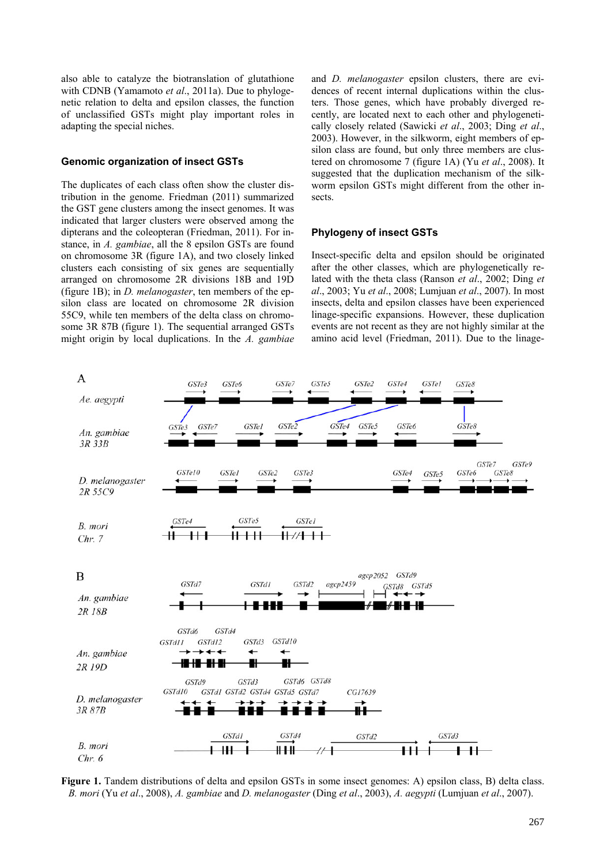also able to catalyze the biotranslation of glutathione with CDNB (Yamamoto *et al*., 2011a). Due to phylogenetic relation to delta and epsilon classes, the function of unclassified GSTs might play important roles in adapting the special niches.

#### **Genomic organization of insect GSTs**

The duplicates of each class often show the cluster distribution in the genome. Friedman (2011) summarized the GST gene clusters among the insect genomes. It was indicated that larger clusters were observed among the dipterans and the coleopteran (Friedman, 2011). For instance, in *A. gambiae*, all the 8 epsilon GSTs are found on chromosome 3R (figure 1A), and two closely linked clusters each consisting of six genes are sequentially arranged on chromosome 2R divisions 18B and 19D (figure 1B); in *D. melanogaster*, ten members of the epsilon class are located on chromosome 2R division 55C9, while ten members of the delta class on chromosome 3R 87B (figure 1). The sequential arranged GSTs might origin by local duplications. In the *A. gambiae*

and *D. melanogaster* epsilon clusters, there are evidences of recent internal duplications within the clusters. Those genes, which have probably diverged recently, are located next to each other and phylogenetically closely related (Sawicki *et al*., 2003; Ding *et al*., 2003). However, in the silkworm, eight members of epsilon class are found, but only three members are clustered on chromosome 7 (figure 1A) (Yu *et al*., 2008). It suggested that the duplication mechanism of the silkworm epsilon GSTs might different from the other insects.

#### **Phylogeny of insect GSTs**

Insect-specific delta and epsilon should be originated after the other classes, which are phylogenetically related with the theta class (Ranson *et al*., 2002; Ding *et al*., 2003; Yu *et al*., 2008; Lumjuan *et al*., 2007). In most insects, delta and epsilon classes have been experienced linage-specific expansions. However, these duplication events are not recent as they are not highly similar at the amino acid level (Friedman, 2011). Due to the linage-



**Figure 1.** Tandem distributions of delta and epsilon GSTs in some insect genomes: A) epsilon class, B) delta class. *B. mori* (Yu *et al*., 2008), *A. gambiae* and *D. melanogaster* (Ding *et al*., 2003), *A. aegypti* (Lumjuan *et al*., 2007).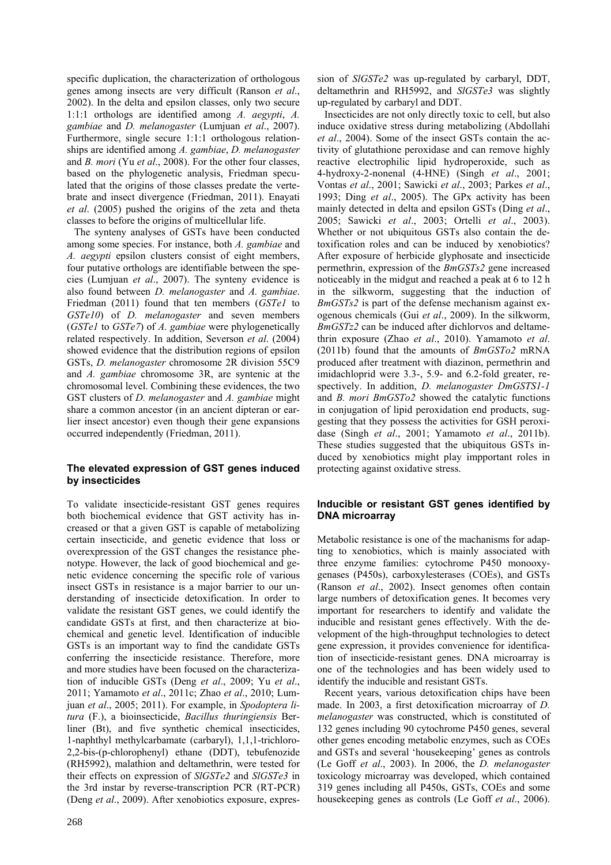specific duplication, the characterization of orthologous genes among insects are very difficult (Ranson *et al*., 2002). In the delta and epsilon classes, only two secure 1:1:1 orthologs are identified among *A. aegypti*, *A. gambiae* and *D. melanogaster* (Lumjuan *et al*., 2007). Furthermore, single secure 1:1:1 orthologous relationships are identified among *A. gambiae*, *D. melanogaster*  and *B. mori* (Yu *et al*., 2008). For the other four classes, based on the phylogenetic analysis, Friedman speculated that the origins of those classes predate the vertebrate and insect divergence (Friedman, 2011). Enayati *et al*. (2005) pushed the origins of the zeta and theta classes to before the origins of multicellular life.

The synteny analyses of GSTs have been conducted among some species. For instance, both *A. gambiae* and *A. aegypti* epsilon clusters consist of eight members, four putative orthologs are identifiable between the species (Lumjuan *et al*., 2007). The synteny evidence is also found between *D. melanogaster* and *A. gambiae*. Friedman (2011) found that ten members (*GSTe1* to *GSTe10*) of *D. melanogaster* and seven members (*GSTe1* to *GSTe7*) of *A. gambiae* were phylogenetically related respectively. In addition, Severson *et al*. (2004) showed evidence that the distribution regions of epsilon GSTs, *D. melanogaster* chromosome 2R division 55C9 and *A. gambiae* chromosome 3R, are syntenic at the chromosomal level. Combining these evidences, the two GST clusters of *D. melanogaster* and *A. gambiae* might share a common ancestor (in an ancient dipteran or earlier insect ancestor) even though their gene expansions occurred independently (Friedman, 2011).

# **The elevated expression of GST genes induced by insecticides**

To validate insecticide-resistant GST genes requires both biochemical evidence that GST activity has increased or that a given GST is capable of metabolizing certain insecticide, and genetic evidence that loss or overexpression of the GST changes the resistance phenotype. However, the lack of good biochemical and genetic evidence concerning the specific role of various insect GSTs in resistance is a major barrier to our understanding of insecticide detoxification. In order to validate the resistant GST genes, we could identify the candidate GSTs at first, and then characterize at biochemical and genetic level. Identification of inducible GSTs is an important way to find the candidate GSTs conferring the insecticide resistance. Therefore, more and more studies have been focused on the characterization of inducible GSTs (Deng *et al*., 2009; Yu *et al*., 2011; Yamamoto *et al*., 2011c; Zhao *et al*., 2010; Lumjuan *et al*., 2005; 2011). For example, in *Spodoptera litura* (F.), a bioinsecticide, *Bacillus thuringiensis* Berliner (Bt), and five synthetic chemical insecticides, 1-naphthyl methylcarbamate (carbaryl), 1,1,1-trichloro-2,2-bis-(p-chlorophenyl) ethane (DDT), tebufenozide (RH5992), malathion and deltamethrin, were tested for their effects on expression of *SlGSTe2* and *SlGSTe3* in the 3rd instar by reverse-transcription PCR (RT-PCR) (Deng *et al*., 2009). After xenobiotics exposure, expression of *SlGSTe2* was up-regulated by carbaryl, DDT, deltamethrin and RH5992, and *SlGSTe3* was slightly up-regulated by carbaryl and DDT.

Insecticides are not only directly toxic to cell, but also induce oxidative stress during metabolizing (Abdollahi *et al*., 2004). Some of the insect GSTs contain the activity of glutathione peroxidase and can remove highly reactive electrophilic lipid hydroperoxide, such as 4-hydroxy-2-nonenal (4-HNE) (Singh *et al*., 2001; Vontas *et al*., 2001; Sawicki *et al*., 2003; Parkes *et al*., 1993; Ding *et al*., 2005). The GPx activity has been mainly detected in delta and epsilon GSTs (Ding *et al*., 2005; Sawicki *et al*., 2003; Ortelli *et al*., 2003). Whether or not ubiquitous GSTs also contain the detoxification roles and can be induced by xenobiotics? After exposure of herbicide glyphosate and insecticide permethrin, expression of the *BmGSTs2* gene increased noticeably in the midgut and reached a peak at 6 to 12 h in the silkworm, suggesting that the induction of *BmGSTs2* is part of the defense mechanism against exogenous chemicals (Gui *et al*., 2009). In the silkworm, *BmGSTz2* can be induced after dichlorvos and deltamethrin exposure (Zhao *et al*., 2010). Yamamoto *et al*. (2011b) found that the amounts of *BmGSTo2* mRNA produced after treatment with diazinon, permethrin and imidachloprid were 3.3-, 5.9- and 6.2-fold greater, respectively. In addition, *D. melanogaster DmGSTS1-1* and *B. mori BmGSTo2* showed the catalytic functions in conjugation of lipid peroxidation end products, suggesting that they possess the activities for GSH peroxidase (Singh *et al*., 2001; Yamamoto *et al*., 2011b). These studies suggested that the ubiquitous GSTs induced by xenobiotics might play impportant roles in protecting against oxidative stress.

# **Inducible or resistant GST genes identified by DNA microarray**

Metabolic resistance is one of the machanisms for adapting to xenobiotics, which is mainly associated with three enzyme families: cytochrome P450 monooxygenases (P450s), carboxylesterases (COEs), and GSTs (Ranson *et al*., 2002). Insect genomes often contain large numbers of detoxification genes. It becomes very important for researchers to identify and validate the inducible and resistant genes effectively. With the development of the high-throughput technologies to detect gene expression, it provides convenience for identification of insecticide-resistant genes. DNA microarray is one of the technologies and has been widely used to identify the inducible and resistant GSTs.

Recent years, various detoxification chips have been made. In 2003, a first detoxification microarray of *D. melanogaster* was constructed, which is constituted of 132 genes including 90 cytochrome P450 genes, several other genes encoding metabolic enzymes, such as COEs and GSTs and several 'housekeeping' genes as controls (Le Goff *et al*., 2003). In 2006, the *D. melanogaster* toxicology microarray was developed, which contained 319 genes including all P450s, GSTs, COEs and some housekeeping genes as controls (Le Goff *et al*., 2006).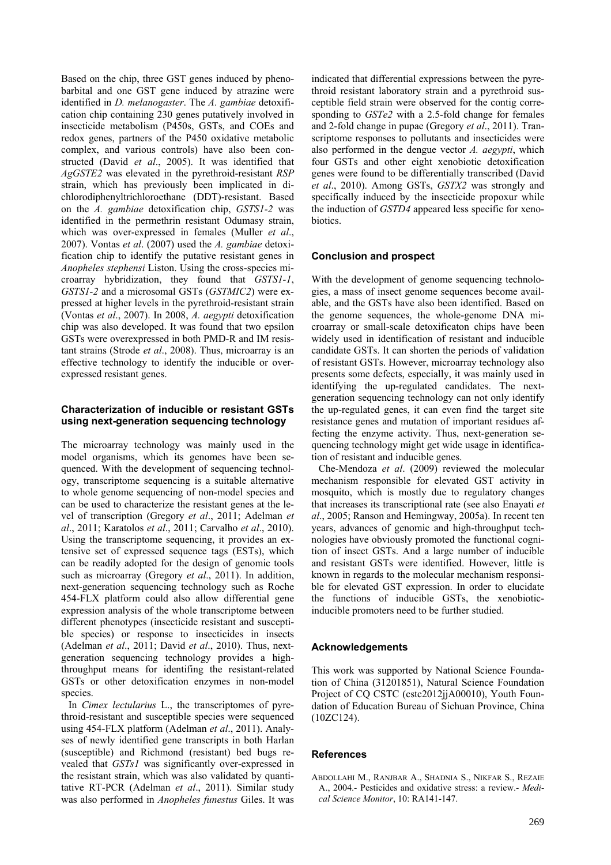Based on the chip, three GST genes induced by phenobarbital and one GST gene induced by atrazine were identified in *D. melanogaster*. The *A. gambiae* detoxification chip containing 230 genes putatively involved in insecticide metabolism (P450s, GSTs, and COEs and redox genes, partners of the P450 oxidative metabolic complex, and various controls) have also been constructed (David *et al*., 2005). It was identified that *AgGSTE2* was elevated in the pyrethroid-resistant *RSP*  strain, which has previously been implicated in dichlorodiphenyltrichloroethane (DDT)-resistant. Based on the *A. gambiae* detoxification chip, *GSTS1-2* was identified in the permethrin resistant Odumasy strain, which was over-expressed in females (Muller *et al*., 2007). Vontas *et al*. (2007) used the *A. gambiae* detoxification chip to identify the putative resistant genes in *Anopheles stephensi* Liston. Using the cross-species microarray hybridization, they found that *GSTS1-1*, *GSTS1-2* and a microsomal GSTs (*GSTMIC2*) were expressed at higher levels in the pyrethroid-resistant strain (Vontas *et al*., 2007). In 2008, *A. aegypti* detoxification chip was also developed. It was found that two epsilon GSTs were overexpressed in both PMD-R and IM resistant strains (Strode *et al*., 2008). Thus, microarray is an effective technology to identify the inducible or overexpressed resistant genes.

# **Characterization of inducible or resistant GSTs using next-generation sequencing technology**

The microarray technology was mainly used in the model organisms, which its genomes have been sequenced. With the development of sequencing technology, transcriptome sequencing is a suitable alternative to whole genome sequencing of non-model species and can be used to characterize the resistant genes at the level of transcription (Gregory *et al*., 2011; Adelman *et al*., 2011; Karatolos *et al*., 2011; Carvalho *et al*., 2010). Using the transcriptome sequencing, it provides an extensive set of expressed sequence tags (ESTs), which can be readily adopted for the design of genomic tools such as microarray (Gregory *et al*., 2011). In addition, next-generation sequencing technology such as Roche 454-FLX platform could also allow differential gene expression analysis of the whole transcriptome between different phenotypes (insecticide resistant and susceptible species) or response to insecticides in insects (Adelman *et al*., 2011; David *et al*., 2010). Thus, nextgeneration sequencing technology provides a highthroughput means for identifing the resistant-related GSTs or other detoxification enzymes in non-model species.

In *Cimex lectularius* L., the transcriptomes of pyrethroid-resistant and susceptible species were sequenced using 454-FLX platform (Adelman *et al*., 2011). Analyses of newly identified gene transcripts in both Harlan (susceptible) and Richmond (resistant) bed bugs revealed that *GSTs1* was significantly over-expressed in the resistant strain, which was also validated by quantitative RT-PCR (Adelman *et al*., 2011). Similar study was also performed in *Anopheles funestus* Giles. It was

indicated that differential expressions between the pyrethroid resistant laboratory strain and a pyrethroid susceptible field strain were observed for the contig corresponding to *GSTe2* with a 2.5-fold change for females and 2-fold change in pupae (Gregory *et al*., 2011). Transcriptome responses to pollutants and insecticides were also performed in the dengue vector *A. aegypti*, which four GSTs and other eight xenobiotic detoxification genes were found to be differentially transcribed (David *et al*., 2010). Among GSTs, *GSTX2* was strongly and specifically induced by the insecticide propoxur while the induction of *GSTD4* appeared less specific for xenobiotics.

## **Conclusion and prospect**

With the development of genome sequencing technologies, a mass of insect genome sequences become available, and the GSTs have also been identified. Based on the genome sequences, the whole-genome DNA microarray or small-scale detoxificaton chips have been widely used in identification of resistant and inducible candidate GSTs. It can shorten the periods of validation of resistant GSTs. However, microarray technology also presents some defects, especially, it was mainly used in identifying the up-regulated candidates. The nextgeneration sequencing technology can not only identify the up-regulated genes, it can even find the target site resistance genes and mutation of important residues affecting the enzyme activity. Thus, next-generation sequencing technology might get wide usage in identification of resistant and inducible genes.

Che-Mendoza *et al*. (2009) reviewed the molecular mechanism responsible for elevated GST activity in mosquito, which is mostly due to regulatory changes that increases its transcriptional rate (see also Enayati *et al*., 2005; Ranson and Hemingway, 2005a). In recent ten years, advances of genomic and high-throughput technologies have obviously promoted the functional cognition of insect GSTs. And a large number of inducible and resistant GSTs were identified. However, little is known in regards to the molecular mechanism responsible for elevated GST expression. In order to elucidate the functions of inducible GSTs, the xenobioticinducible promoters need to be further studied.

#### **Acknowledgements**

This work was supported by National Science Foundation of China (31201851), Natural Science Foundation Project of CO CSTC (cstc2012jjA00010), Youth Foundation of Education Bureau of Sichuan Province, China (10ZC124).

#### **References**

ABDOLLAHI M., RANJBAR A., SHADNIA S., NIKFAR S., REZAIE A., 2004.- Pesticides and oxidative stress: a review.- *Medical Science Monitor*, 10: RA141-147.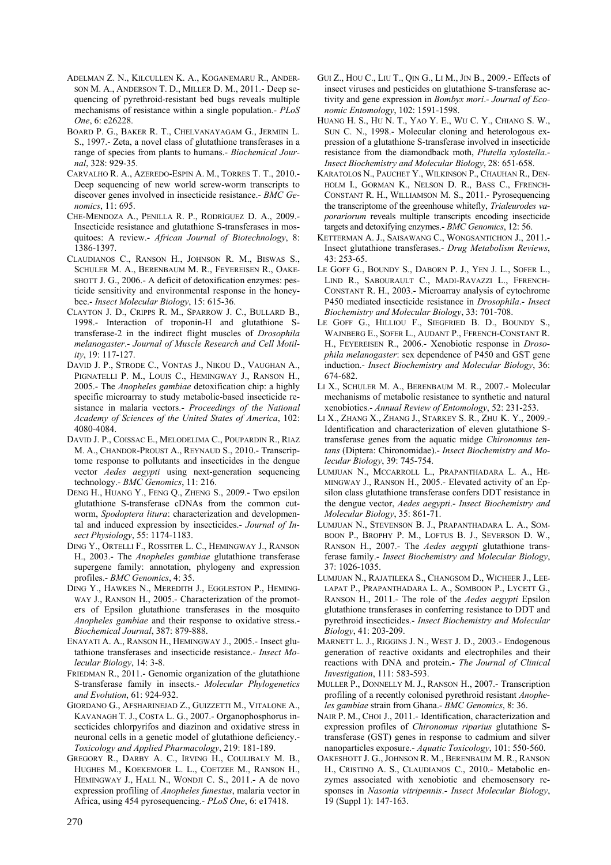- ADELMAN Z. N., KILCULLEN K. A., KOGANEMARU R., ANDER-SON M. A., ANDERSON T. D., MILLER D. M., 2011.- Deep sequencing of pyrethroid-resistant bed bugs reveals multiple mechanisms of resistance within a single population.- *PLoS One*, 6: e26228.
- BOARD P. G., BAKER R. T., CHELVANAYAGAM G., JERMIIN L. S., 1997.- Zeta, a novel class of glutathione transferases in a range of species from plants to humans.- *Biochemical Journal*, 328: 929-35.
- CARVALHO R. A., AZEREDO-ESPIN A. M., TORRES T. T., 2010.- Deep sequencing of new world screw-worm transcripts to discover genes involved in insecticide resistance.- *BMC Genomics*, 11: 695.
- CHE-MENDOZA A., PENILLA R. P., RODRÍGUEZ D. A., 2009.- Insecticide resistance and glutathione S-transferases in mosquitoes: A review.- *African Journal of Biotechnology*, 8: 1386-1397.
- CLAUDIANOS C., RANSON H., JOHNSON R. M., BISWAS S., SCHULER M. A., BERENBAUM M. R., FEYEREISEN R., OAKE-SHOTT J. G., 2006.- A deficit of detoxification enzymes: pesticide sensitivity and environmental response in the honeybee.- *Insect Molecular Biology*, 15: 615-36.
- CLAYTON J. D., CRIPPS R. M., SPARROW J. C., BULLARD B., 1998.- Interaction of troponin-H and glutathione Stransferase-2 in the indirect flight muscles of *Drosophila melanogaster*.- *Journal of Muscle Research and Cell Motility*, 19: 117-127.
- DAVID J. P., STRODE C., VONTAS J., NIKOU D., VAUGHAN A., PIGNATELLI P. M., LOUIS C., HEMINGWAY J., RANSON H., 2005.- The *Anopheles gambiae* detoxification chip: a highly specific microarray to study metabolic-based insecticide resistance in malaria vectors.- *Proceedings of the National Academy of Sciences of the United States of America*, 102: 4080-4084.
- DAVID J. P., COISSAC E., MELODELIMA C., POUPARDIN R., RIAZ M. A., CHANDOR-PROUST A., REYNAUD S., 2010.- Transcriptome response to pollutants and insecticides in the dengue vector *Aedes aegypti* using next-generation sequencing technology.- *BMC Genomics*, 11: 216.
- DENG H., HUANG Y., FENG Q., ZHENG S., 2009.- Two epsilon glutathione S-transferase cDNAs from the common cutworm, *Spodoptera litura*: characterization and developmental and induced expression by insecticides.- *Journal of Insect Physiology*, 55: 1174-1183.
- DING Y., ORTELLI F., ROSSITER L. C., HEMINGWAY J., RANSON H., 2003.- The *Anopheles gambiae* glutathione transferase supergene family: annotation, phylogeny and expression profiles.- *BMC Genomics*, 4: 35.
- DING Y., HAWKES N., MEREDITH J., EGGLESTON P., HEMING-WAY J., RANSON H., 2005.- Characterization of the promoters of Epsilon glutathione transferases in the mosquito *Anopheles gambiae* and their response to oxidative stress.- *Biochemical Journal*, 387: 879-888.
- ENAYATI A. A., RANSON H., HEMINGWAY J., 2005.- Insect glutathione transferases and insecticide resistance.- *Insect Molecular Biology*, 14: 3-8.
- FRIEDMAN R., 2011.- Genomic organization of the glutathione S-transferase family in insects.- *Molecular Phylogenetics and Evolution*, 61: 924-932.
- GIORDANO G., AFSHARINEJAD Z., GUIZZETTI M., VITALONE A., KAVANAGH T. J., COSTA L. G., 2007.- Organophosphorus insecticides chlorpyrifos and diazinon and oxidative stress in neuronal cells in a genetic model of glutathione deficiency.- *Toxicology and Applied Pharmacology*, 219: 181-189.
- GREGORY R., DARBY A. C., IRVING H., COULIBALY M. B., HUGHES M., KOEKEMOER L. L., COETZEE M., RANSON H., HEMINGWAY J., HALL N., WONDJI C. S., 2011.- A de novo expression profiling of *Anopheles funestus*, malaria vector in Africa, using 454 pyrosequencing.- *PLoS One*, 6: e17418.
- GUI Z., HOU C., LIU T., QIN G., LI M., JIN B., 2009.- Effects of insect viruses and pesticides on glutathione S-transferase activity and gene expression in *Bombyx mori*.- *Journal of Economic Entomology*, 102: 1591-1598.
- HUANG H. S., HU N. T., YAO Y. E., WU C. Y., CHIANG S. W., SUN C. N., 1998.- Molecular cloning and heterologous expression of a glutathione S-transferase involved in insecticide resistance from the diamondback moth, *Plutella xylostella*.- *Insect Biochemistry and Molecular Biology*, 28: 651-658.
- KARATOLOS N., PAUCHET Y., WILKINSON P., CHAUHAN R., DEN-HOLM I., GORMAN K., NELSON D. R., BASS C., FFRENCH-CONSTANT R. H., WILLIAMSON M. S., 2011.- Pyrosequencing the transcriptome of the greenhouse whitefly, *Trialeurodes vaporariorum* reveals multiple transcripts encoding insecticide targets and detoxifying enzymes.- *BMC Genomics*, 12: 56.
- KETTERMAN A. J., SAISAWANG C., WONGSANTICHON J., 2011.- Insect glutathione transferases.- *Drug Metabolism Reviews*, 43: 253-65.
- LE GOFF G., BOUNDY S., DABORN P. J., YEN J. L., SOFER L., LIND R., SABOURAULT C., MADI-RAVAZZI L., FFRENCH-CONSTANT R. H., 2003.- Microarray analysis of cytochrome P450 mediated insecticide resistance in *Drosophila*.- *Insect Biochemistry and Molecular Biology*, 33: 701-708.
- LE GOFF G., HILLIOU F., SIEGFRIED B. D., BOUNDY S., WAJNBERG E., SOFER L., AUDANT P., FFRENCH-CONSTANT R. H., FEYEREISEN R., 2006.- Xenobiotic response in *Drosophila melanogaster*: sex dependence of P450 and GST gene induction.- *Insect Biochemistry and Molecular Biology*, 36: 674-682.
- LI X., SCHULER M. A., BERENBAUM M. R., 2007.- Molecular mechanisms of metabolic resistance to synthetic and natural xenobiotics.- *Annual Review of Entomology*, 52: 231-253.
- LI X., ZHANG X., ZHANG J., STARKEY S. R., ZHU K. Y., 2009.- Identification and characterization of eleven glutathione Stransferase genes from the aquatic midge *Chironomus tentans* (Diptera: Chironomidae).- *Insect Biochemistry and Molecular Biology*, 39: 745-754.
- LUMJUAN N., MCCARROLL L., PRAPANTHADARA L. A., HE-MINGWAY J., RANSON H., 2005.- Elevated activity of an Epsilon class glutathione transferase confers DDT resistance in the dengue vector, *Aedes aegypti*.- *Insect Biochemistry and Molecular Biology*, 35: 861-71.
- LUMJUAN N., STEVENSON B. J., PRAPANTHADARA L. A., SOM-BOON P., BROPHY P. M., LOFTUS B. J., SEVERSON D. W., RANSON H., 2007.- The *Aedes aegypti* glutathione transferase family.- *Insect Biochemistry and Molecular Biology*, 37: 1026-1035.
- LUMJUAN N., RAJATILEKA S., CHANGSOM D., WICHEER J., LEE-LAPAT P., PRAPANTHADARA L. A., SOMBOON P., LYCETT G., RANSON H., 2011.- The role of the *Aedes aegypti* Epsilon glutathione transferases in conferring resistance to DDT and pyrethroid insecticides.- *Insect Biochemistry and Molecular Biology*, 41: 203-209.
- MARNETT L. J., RIGGINS J. N., WEST J. D., 2003.- Endogenous generation of reactive oxidants and electrophiles and their reactions with DNA and protein.- *The Journal of Clinical Investigation*, 111: 583-593.
- MULLER P., DONNELLY M. J., RANSON H., 2007.- Transcription profiling of a recently colonised pyrethroid resistant *Anopheles gambiae* strain from Ghana.- *BMC Genomics*, 8: 36.
- NAIR P. M., CHOI J., 2011.- Identification, characterization and expression profiles of *Chironomus riparius* glutathione Stransferase (GST) genes in response to cadmium and silver nanoparticles exposure.- *Aquatic Toxicology*, 101: 550-560.
- OAKESHOTT J. G., JOHNSON R. M., BERENBAUM M. R., RANSON H., CRISTINO A. S., CLAUDIANOS C., 2010.- Metabolic enzymes associated with xenobiotic and chemosensory responses in *Nasonia vitripennis*.- *Insect Molecular Biology*, 19 (Suppl 1): 147-163.